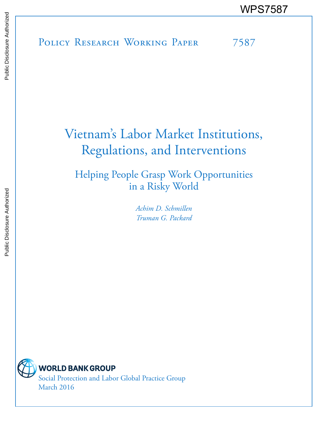POLICY RESEARCH WORKING PAPER 7587 WPS7587<br>
MESTER<br>
BUBBIC POLICY RESEARCH WORKING PAPER<br>
BUBBIC<br>
BUBBIC<br>
BUBBIC<br>
BUBBIC<br>
DISCRIPTION OF THE TOWARD TO THE TO THE TO THE TO THE TO THE TO THE TO THE TO THE TO THE TO THE TO THE TO THE TO THE TO THE TO THE TO T

# Vietnam's Labor Market Institutions, Regulations, and Interventions

Helping People Grasp Work Opportunities in a Risky World

> *Achim D. Schmillen Truman G. Packard*



**WORLD BANK GROUP** 

Social Protection and Labor Global Practice Group March 2016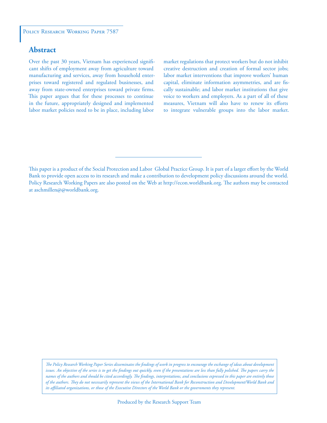# **Abstract**

Over the past 30 years, Vietnam has experienced significant shifts of employment away from agriculture toward manufacturing and services, away from household enterprises toward registered and regulated businesses, and away from state-owned enterprises toward private firms. This paper argues that for these processes to continue in the future, appropriately designed and implemented labor market policies need to be in place, including labor

market regulations that protect workers but do not inhibit creative destruction and creation of formal sector jobs; labor market interventions that improve workers' human capital, eliminate information asymmetries, and are fiscally sustainable; and labor market institutions that give voice to workers and employers. As a part of all of these measures, Vietnam will also have to renew its efforts to integrate vulnerable groups into the labor market.

*The Policy Research Working Paper Series disseminates the findings of work in progress to encourage the exchange of ideas about development*  issues. An objective of the series is to get the findings out quickly, even if the presentations are less than fully polished. The papers carry the *names of the authors and should be cited accordingly. The findings, interpretations, and conclusions expressed in this paper are entirely those of the authors. They do not necessarily represent the views of the International Bank for Reconstruction and Development/World Bank and its affiliated organizations, or those of the Executive Directors of the World Bank or the governments they represent.*

This paper is a product of the Social Protection and Labor Global Practice Group. It is part of a larger effort by the World Bank to provide open access to its research and make a contribution to development policy discussions around the world. Policy Research Working Papers are also posted on the Web at http://econ.worldbank.org. The authors may be contacted at aschmillen@@worldbank.org.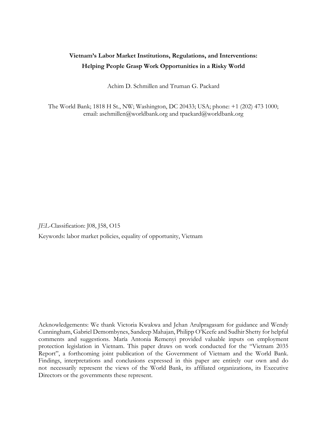# **Vietnam's Labor Market Institutions, Regulations, and Interventions: Helping People Grasp Work Opportunities in a Risky World**

Achim D. Schmillen and Truman G. Packard

The World Bank; 1818 H St., NW; Washington, DC 20433; USA; phone: +1 (202) 473 1000; email: aschmillen@worldbank.org and tpackard@worldbank.org

*JEL*-Classification: J08, J58, O15

Keywords: labor market policies, equality of opportunity, Vietnam

Acknowledgements: We thank Victoria Kwakwa and Jehan Arulpragasam for guidance and Wendy Cunningham, Gabriel Demombynes, Sandeep Mahajan, Philipp O'Keefe and Sudhir Shetty for helpful comments and suggestions. María Antonia Remenyi provided valuable inputs on employment protection legislation in Vietnam. This paper draws on work conducted for the "Vietnam 2035 Report", a forthcoming joint publication of the Government of Vietnam and the World Bank. Findings, interpretations and conclusions expressed in this paper are entirely our own and do not necessarily represent the views of the World Bank, its affiliated organizations, its Executive Directors or the governments these represent.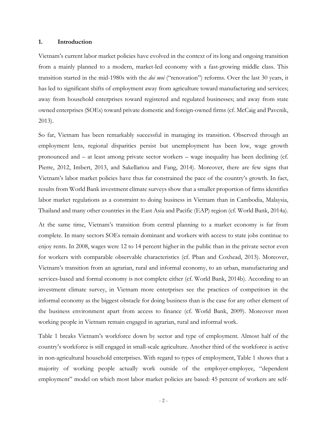#### **1. Introduction**

Vietnam's current labor market policies have evolved in the context of its long and ongoing transition from a mainly planned to a modern, market-led economy with a fast-growing middle class. This transition started in the mid-1980s with the *doi moi* ("renovation") reforms. Over the last 30 years, it has led to significant shifts of employment away from agriculture toward manufacturing and services; away from household enterprises toward registered and regulated businesses; and away from state owned enterprises (SOEs) toward private domestic and foreign-owned firms (cf. McCaig and Pavcnik, 2013).

So far, Vietnam has been remarkably successful in managing its transition. Observed through an employment lens, regional disparities persist but unemployment has been low, wage growth pronounced and – at least among private sector workers – wage inequality has been declining (cf. Pierre, 2012, Imbert, 2013, and Sakellariou and Fang, 2014). Moreover, there are few signs that Vietnam's labor market policies have thus far constrained the pace of the country's growth. In fact, results from World Bank investment climate surveys show that a smaller proportion of firms identifies labor market regulations as a constraint to doing business in Vietnam than in Cambodia, Malaysia, Thailand and many other countries in the East Asia and Pacific (EAP) region (cf. World Bank, 2014a).

At the same time, Vietnam's transition from central planning to a market economy is far from complete. In many sectors SOEs remain dominant and workers with access to state jobs continue to enjoy rents. In 2008, wages were 12 to 14 percent higher in the public than in the private sector even for workers with comparable observable characteristics (cf. Phan and Coxhead, 2013). Moreover, Vietnam's transition from an agrarian, rural and informal economy, to an urban, manufacturing and services-based and formal economy is not complete either (cf. World Bank, 2014b). According to an investment climate survey, in Vietnam more enterprises see the practices of competitors in the informal economy as the biggest obstacle for doing business than is the case for any other element of the business environment apart from access to finance (cf. World Bank, 2009). Moreover most working people in Vietnam remain engaged in agrarian, rural and informal work.

Table 1 breaks Vietnam's workforce down by sector and type of employment. Almost half of the country's workforce is still engaged in small-scale agriculture. Another third of the workforce is active in non-agricultural household enterprises. With regard to types of employment, Table 1 shows that a majority of working people actually work outside of the employer-employee, "dependent employment" model on which most labor market policies are based: 45 percent of workers are self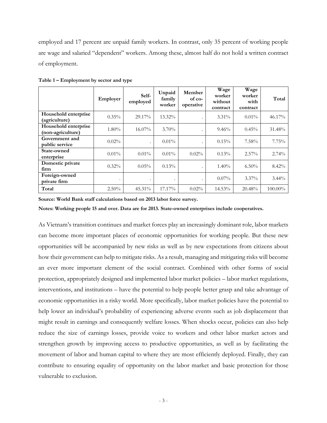employed and 17 percent are unpaid family workers. In contrast, only 35 percent of working people are wage and salaried "dependent" workers. Among these, almost half do not hold a written contract of employment.

|                                           | Employer  | Self-<br>employed | Unpaid<br>family<br>worker | Member<br>of co-<br>operative | Wage<br>worker<br>without<br>contract | Wage<br>worker<br>with<br>contract | Total      |
|-------------------------------------------|-----------|-------------------|----------------------------|-------------------------------|---------------------------------------|------------------------------------|------------|
| Household enterprise<br>(agriculture)     | $0.35\%$  | 29.17%            | 13.32%                     |                               | $3.31\%$                              | $0.01\%$                           | 46.17%     |
| Household enterprise<br>(non-agriculture) | $1.80\%$  | $16.07\%$         | $3.70\%$                   |                               | 9.46%                                 | $0.45\%$                           | 31.48%     |
| Government and<br>public service          | $0.02\%$  | ٠                 | $0.01\%$                   |                               | 0.15%                                 | 7.58%                              | 7.75%      |
| State-owned<br>enterprise                 | $0.01\%$  | $0.01\%$          | $0.01\%$                   | $0.02\%$                      | $0.13\%$                              | $2.57\%$                           | 2.74%      |
| Domestic private<br>firm                  | $0.32\%$  | 0.05%             | 0.13%                      |                               | $1.40\%$                              | $6.50\%$                           | 8.42%      |
| Foreign-owned<br>private firm             | $\bullet$ |                   |                            |                               | $0.07\%$                              | $3.37\%$                           | $3.44\%$   |
| Total                                     | $2.50\%$  | 45.31%            | 17.17%                     | $0.02\%$                      | 14.53%                                | 20.48%                             | $100.00\%$ |

**Table 1 – Employment by sector and type** 

**Source: World Bank staff calculations based on 2013 labor force survey.** 

**Notes: Working people 15 and over. Data are for 2013. State-owned enterprises include cooperatives.** 

As Vietnam's transition continues and market forces play an increasingly dominant role, labor markets can become more important places of economic opportunities for working people. But these new opportunities will be accompanied by new risks as well as by new expectations from citizens about how their government can help to mitigate risks. As a result, managing and mitigating risks will become an ever more important element of the social contract. Combined with other forms of social protection, appropriately designed and implemented labor market policies – labor market regulations, interventions, and institutions – have the potential to help people better grasp and take advantage of economic opportunities in a risky world. More specifically, labor market policies have the potential to help lower an individual's probability of experiencing adverse events such as job displacement that might result in earnings and consequently welfare losses. When shocks occur, policies can also help reduce the size of earnings losses, provide voice to workers and other labor market actors and strengthen growth by improving access to productive opportunities, as well as by facilitating the movement of labor and human capital to where they are most efficiently deployed. Finally, they can contribute to ensuring equality of opportunity on the labor market and basic protection for those vulnerable to exclusion.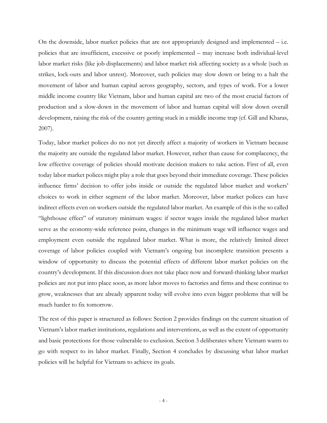On the downside, labor market policies that are not appropriately designed and implemented  $-$  i.e. policies that are insufficient, excessive or poorly implemented – may increase both individual-level labor market risks (like job displacements) and labor market risk affecting society as a whole (such as strikes, lock-outs and labor unrest). Moreover, such policies may slow down or bring to a halt the movement of labor and human capital across geography, sectors, and types of work. For a lower middle income country like Vietnam, labor and human capital are two of the most crucial factors of production and a slow-down in the movement of labor and human capital will slow down overall development, raising the risk of the country getting stuck in a middle income trap (cf. Gill and Kharas, 2007).

Today, labor market polices do no not yet directly affect a majority of workers in Vietnam because the majority are outside the regulated labor market. However, rather than cause for complacency, the low effective coverage of policies should motivate decision makers to take action. First of all, even today labor market polices might play a role that goes beyond their immediate coverage. These policies influence firms' decision to offer jobs inside or outside the regulated labor market and workers' choices to work in either segment of the labor market. Moreover, labor market polices can have indirect effects even on workers outside the regulated labor market. An example of this is the so called "lighthouse effect" of statutory minimum wages: if sector wages inside the regulated labor market serve as the economy-wide reference point, changes in the minimum wage will influence wages and employment even outside the regulated labor market. What is more, the relatively limited direct coverage of labor policies coupled with Vietnam's ongoing but incomplete transition presents a window of opportunity to discuss the potential effects of different labor market policies on the country's development. If this discussion does not take place now and forward-thinking labor market policies are not put into place soon, as more labor moves to factories and firms and these continue to grow, weaknesses that are already apparent today will evolve into even bigger problems that will be much harder to fix tomorrow.

The rest of this paper is structured as follows: Section 2 provides findings on the current situation of Vietnam's labor market institutions, regulations and interventions, as well as the extent of opportunity and basic protections for those vulnerable to exclusion. Section 3 deliberates where Vietnam wants to go with respect to its labor market. Finally, Section 4 concludes by discussing what labor market policies will be helpful for Vietnam to achieve its goals.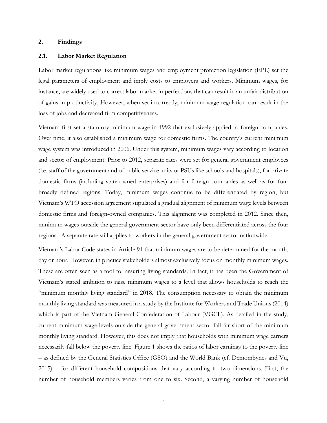#### **2. Findings**

# **2.1. Labor Market Regulation**

Labor market regulations like minimum wages and employment protection legislation (EPL) set the legal parameters of employment and imply costs to employers and workers. Minimum wages, for instance, are widely used to correct labor market imperfections that can result in an unfair distribution of gains in productivity. However, when set incorrectly, minimum wage regulation can result in the loss of jobs and decreased firm competitiveness.

Vietnam first set a statutory minimum wage in 1992 that exclusively applied to foreign companies. Over time, it also established a minimum wage for domestic firms. The country's current minimum wage system was introduced in 2006. Under this system, minimum wages vary according to location and sector of employment. Prior to 2012, separate rates were set for general government employees (i.e. staff of the government and of public service units or PSUs like schools and hospitals), for private domestic firms (including state-owned enterprises) and for foreign companies as well as for four broadly defined regions. Today, minimum wages continue to be differentiated by region, but Vietnam's WTO accession agreement stipulated a gradual alignment of minimum wage levels between domestic firms and foreign-owned companies. This alignment was completed in 2012. Since then, minimum wages outside the general government sector have only been differentiated across the four regions. A separate rate still applies to workers in the general government sector nationwide.

Vietnam's Labor Code states in Article 91 that minimum wages are to be determined for the month, day or hour. However, in practice stakeholders almost exclusively focus on monthly minimum wages. These are often seen as a tool for assuring living standards. In fact, it has been the Government of Vietnam's stated ambition to raise minimum wages to a level that allows households to reach the "minimum monthly living standard" in 2018. The consumption necessary to obtain the minimum monthly living standard was measured in a study by the Institute for Workers and Trade Unions (2014) which is part of the Vietnam General Confederation of Labour (VGCL). As detailed in the study, current minimum wage levels outside the general government sector fall far short of the minimum monthly living standard. However, this does not imply that households with minimum wage earners necessarily fall below the poverty line. Figure 1 shows the ratios of labor earnings to the poverty line – as defined by the General Statistics Office (GSO) and the World Bank (cf. Demombynes and Vu, 2015) – for different household compositions that vary according to two dimensions. First, the number of household members varies from one to six. Second, a varying number of household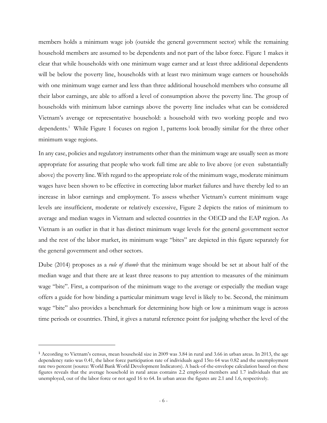members holds a minimum wage job (outside the general government sector) while the remaining household members are assumed to be dependents and not part of the labor force. Figure 1 makes it clear that while households with one minimum wage earner and at least three additional dependents will be below the poverty line, households with at least two minimum wage earners or households with one minimum wage earner and less than three additional household members who consume all their labor earnings, are able to afford a level of consumption above the poverty line. The group of households with minimum labor earnings above the poverty line includes what can be considered Vietnam's average or representative household: a household with two working people and two dependents.<sup>1</sup> While Figure 1 focuses on region 1, patterns look broadly similar for the three other minimum wage regions.

In any case, policies and regulatory instruments other than the minimum wage are usually seen as more appropriate for assuring that people who work full time are able to live above (or even substantially above) the poverty line. With regard to the appropriate role of the minimum wage, moderate minimum wages have been shown to be effective in correcting labor market failures and have thereby led to an increase in labor earnings and employment. To assess whether Vietnam's current minimum wage levels are insufficient, moderate or relatively excessive, Figure 2 depicts the ratios of minimum to average and median wages in Vietnam and selected countries in the OECD and the EAP region. As Vietnam is an outlier in that it has distinct minimum wage levels for the general government sector and the rest of the labor market, its minimum wage "bites" are depicted in this figure separately for the general government and other sectors.

Dube (2014) proposes as a *rule of thumb* that the minimum wage should be set at about half of the median wage and that there are at least three reasons to pay attention to measures of the minimum wage "bite". First, a comparison of the minimum wage to the average or especially the median wage offers a guide for how binding a particular minimum wage level is likely to be. Second, the minimum wage "bite" also provides a benchmark for determining how high or low a minimum wage is across time periods or countries. Third, it gives a natural reference point for judging whether the level of the

<sup>&</sup>lt;sup>1</sup> According to Vietnam's census, mean household size in 2009 was 3.84 in rural and 3.66 in urban areas. In 2013, the age dependency ratio was 0.41, the labor force participation rate of individuals aged 15to 64 was 0.82 and the unemployment rate two percent (source: World Bank World Development Indicators). A back-of-the-envelope calculation based on these figures reveals that the average household in rural areas contains 2.2 employed members and 1.7 individuals that are unemployed, out of the labor force or not aged 16 to 64. In urban areas the figures are 2.1 and 1.6, respectively.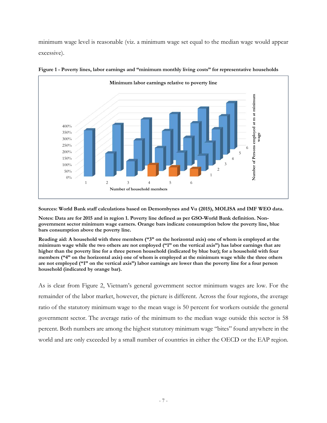minimum wage level is reasonable (viz. a minimum wage set equal to the median wage would appear excessive).





**Sources: World Bank staff calculations based on Demombynes and Vu (2015), MOLISA and IMF WEO data.** 

**Notes: Data are for 2015 and in region 1. Poverty line defined as per GSO-World Bank definition. Nongovernment sector minimum wage earners. Orange bars indicate consumption below the poverty line, blue bars consumption above the poverty line.** 

**Reading aid: A household with three members ("3" on the horizontal axis) one of whom is employed at the minimum wage while the two others are not employed ("1" on the vertical axis") has labor earnings that are higher than the poverty line for a three person household (indicated by blue bar); for a household with four members ("4" on the horizontal axis) one of whom is employed at the minimum wage while the three others are not employed ("1" on the vertical axis") labor earnings are lower than the poverty line for a four person household (indicated by orange bar).** 

As is clear from Figure 2, Vietnam's general government sector minimum wages are low. For the remainder of the labor market, however, the picture is different. Across the four regions, the average ratio of the statutory minimum wage to the mean wage is 50 percent for workers outside the general government sector. The average ratio of the minimum to the median wage outside this sector is 58 percent. Both numbers are among the highest statutory minimum wage "bites" found anywhere in the world and are only exceeded by a small number of countries in either the OECD or the EAP region.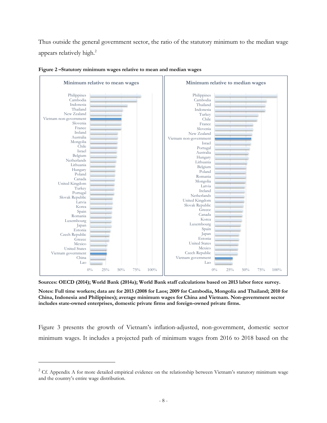Thus outside the general government sector, the ratio of the statutory minimum to the median wage appears relatively high.2





**Sources: OECD (2014); World Bank (2014a); World Bank staff calculations based on 2013 labor force survey.** 

**Notes: Full time workers; data are for 2013 (2008 for Laos; 2009 for Cambodia, Mongolia and Thailand; 2010 for China, Indonesia and Philippines); average minimum wages for China and Vietnam. Non-government sector includes state-owned enterprises, domestic private firms and foreign-owned private firms.** 

Figure 3 presents the growth of Vietnam's inflation-adjusted, non-government, domestic sector minimum wages. It includes a projected path of minimum wages from 2016 to 2018 based on the

 $2$  Cf. Appendix A for more detailed empirical evidence on the relationship between Vietnam's statutory minimum wage and the country's entire wage distribution.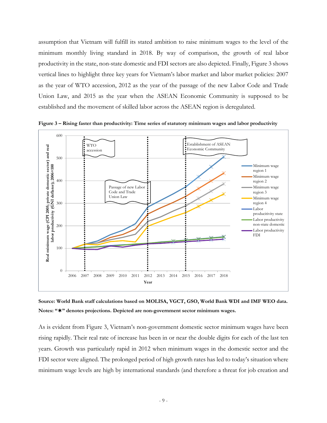assumption that Vietnam will fulfill its stated ambition to raise minimum wages to the level of the minimum monthly living standard in 2018. By way of comparison, the growth of real labor productivity in the state, non-state domestic and FDI sectors are also depicted. Finally, Figure 3 shows vertical lines to highlight three key years for Vietnam's labor market and labor market policies: 2007 as the year of WTO accession, 2012 as the year of the passage of the new Labor Code and Trade Union Law, and 2015 as the year when the ASEAN Economic Community is supposed to be established and the movement of skilled labor across the ASEAN region is deregulated.



**Figure 3 – Rising faster than productivity: Time series of statutory minimum wages and labor productivity** 

**Source: World Bank staff calculations based on MOLISA, VGCT, GSO, World Bank WDI and IMF WEO data. Notes: "" denotes projections. Depicted are non-government sector minimum wages.** 

As is evident from Figure 3, Vietnam's non-government domestic sector minimum wages have been rising rapidly. Their real rate of increase has been in or near the double digits for each of the last ten years. Growth was particularly rapid in 2012 when minimum wages in the domestic sector and the FDI sector were aligned. The prolonged period of high growth rates has led to today's situation where minimum wage levels are high by international standards (and therefore a threat for job creation and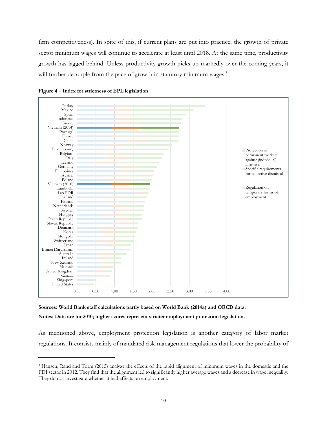firm competitiveness). In spite of this, if current plans are put into practice, the growth of private sector minimum wages will continue to accelerate at least until 2018. At the same time, productivity growth has lagged behind. Unless productivity growth picks up markedly over the coming years, it will further decouple from the pace of growth in statutory minimum wages.<sup>3</sup>







As mentioned above, employment protection legislation is another category of labor market regulations. It consists mainly of mandated risk-management regulations that lower the probability of

<sup>3</sup> Hansen, Rand and Torm (2015) analyze the effects of the rapid alignment of minimum wages in the domestic and the FDI sector in 2012. They find that the alignment led to significantly higher average wages and a decrease in wage inequality. They do not investigate whether it had effects on employment.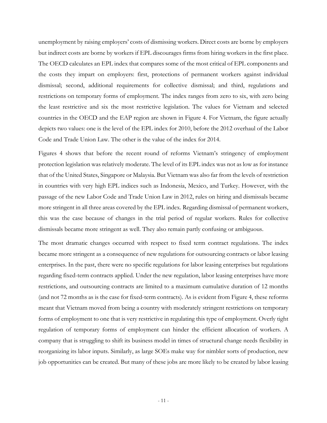unemployment by raising employers' costs of dismissing workers. Direct costs are borne by employers but indirect costs are borne by workers if EPL discourages firms from hiring workers in the first place. The OECD calculates an EPL index that compares some of the most critical of EPL components and the costs they impart on employers: first, protections of permanent workers against individual dismissal; second, additional requirements for collective dismissal; and third, regulations and restrictions on temporary forms of employment. The index ranges from zero to six, with zero being the least restrictive and six the most restrictive legislation. The values for Vietnam and selected countries in the OECD and the EAP region are shown in Figure 4. For Vietnam, the figure actually depicts two values: one is the level of the EPL index for 2010, before the 2012 overhaul of the Labor Code and Trade Union Law. The other is the value of the index for 2014.

Figures 4 shows that before the recent round of reforms Vietnam's stringency of employment protection legislation was relatively moderate. The level of its EPL index was not as low as for instance that of the United States, Singapore or Malaysia. But Vietnam was also far from the levels of restriction in countries with very high EPL indices such as Indonesia, Mexico, and Turkey. However, with the passage of the new Labor Code and Trade Union Law in 2012, rules on hiring and dismissals became more stringent in all three areas covered by the EPL index. Regarding dismissal of permanent workers, this was the case because of changes in the trial period of regular workers. Rules for collective dismissals became more stringent as well. They also remain partly confusing or ambiguous.

The most dramatic changes occurred with respect to fixed term contract regulations. The index became more stringent as a consequence of new regulations for outsourcing contracts or labor leasing enterprises. In the past, there were no specific regulations for labor leasing enterprises but regulations regarding fixed-term contracts applied. Under the new regulation, labor leasing enterprises have more restrictions, and outsourcing contracts are limited to a maximum cumulative duration of 12 months (and not 72 months as is the case for fixed-term contracts). As is evident from Figure 4, these reforms meant that Vietnam moved from being a country with moderately stringent restrictions on temporary forms of employment to one that is very restrictive in regulating this type of employment. Overly tight regulation of temporary forms of employment can hinder the efficient allocation of workers. A company that is struggling to shift its business model in times of structural change needs flexibility in reorganizing its labor inputs. Similarly, as large SOEs make way for nimbler sorts of production, new job opportunities can be created. But many of these jobs are more likely to be created by labor leasing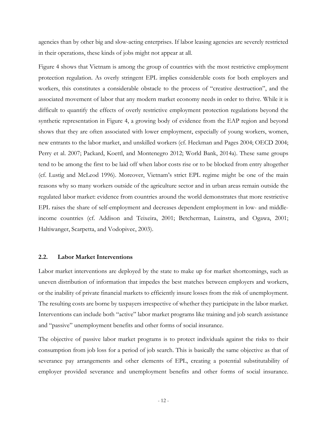agencies than by other big and slow-acting enterprises. If labor leasing agencies are severely restricted in their operations, these kinds of jobs might not appear at all.

Figure 4 shows that Vietnam is among the group of countries with the most restrictive employment protection regulation. As overly stringent EPL implies considerable costs for both employers and workers, this constitutes a considerable obstacle to the process of "creative destruction", and the associated movement of labor that any modern market economy needs in order to thrive. While it is difficult to quantify the effects of overly restrictive employment protection regulations beyond the synthetic representation in Figure 4, a growing body of evidence from the EAP region and beyond shows that they are often associated with lower employment, especially of young workers, women, new entrants to the labor market, and unskilled workers (cf. Heckman and Pages 2004; OECD 2004; Perry et al. 2007; Packard, Koettl, and Montenegro 2012; World Bank, 2014a). These same groups tend to be among the first to be laid off when labor costs rise or to be blocked from entry altogether (cf. Lustig and McLeod 1996). Moreover, Vietnam's strict EPL regime might be one of the main reasons why so many workers outside of the agriculture sector and in urban areas remain outside the regulated labor market: evidence from countries around the world demonstrates that more restrictive EPL raises the share of self-employment and decreases dependent employment in low- and middleincome countries (cf. Addison and Teixeira, 2001; Betcherman, Luinstra, and Ogawa, 2001; Haltiwanger, Scarpetta, and Vodopivec, 2003).

### **2.2. Labor Market Interventions**

Labor market interventions are deployed by the state to make up for market shortcomings, such as uneven distribution of information that impedes the best matches between employers and workers, or the inability of private financial markets to efficiently insure losses from the risk of unemployment. The resulting costs are borne by taxpayers irrespective of whether they participate in the labor market. Interventions can include both "active" labor market programs like training and job search assistance and "passive" unemployment benefits and other forms of social insurance.

The objective of passive labor market programs is to protect individuals against the risks to their consumption from job loss for a period of job search. This is basically the same objective as that of severance pay arrangements and other elements of EPL, creating a potential substitutability of employer provided severance and unemployment benefits and other forms of social insurance.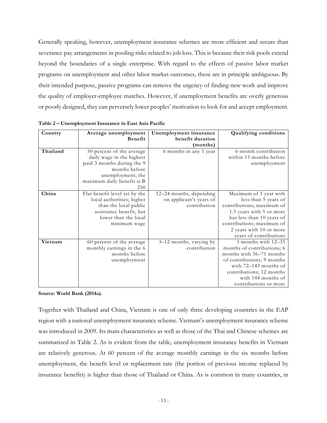Generally speaking, however, unemployment insurance schemes are more efficient and secure than severance pay arrangements in pooling risks related to job loss. This is because their risk pools extend beyond the boundaries of a single enterprise. With regard to the effects of passive labor market programs on unemployment and other labor market outcomes, these are in principle ambiguous. By their intended purpose, passive programs can remove the urgency of finding new work and improve the quality of employer-employee matches. However, if unemployment benefits are overly generous or poorly designed, they can perversely lower peoples' motivation to look for and accept employment.

| Country  | Average unemployment                                                                                                                                            | Unemployment insurance                                             | <b>Qualifying conditions</b>                                                                                                                                                                                           |
|----------|-----------------------------------------------------------------------------------------------------------------------------------------------------------------|--------------------------------------------------------------------|------------------------------------------------------------------------------------------------------------------------------------------------------------------------------------------------------------------------|
|          | <b>Benefit</b>                                                                                                                                                  | benefit duration                                                   |                                                                                                                                                                                                                        |
|          |                                                                                                                                                                 | (months)                                                           |                                                                                                                                                                                                                        |
| Thailand | 50 percent of the average<br>daily wage in the highest<br>paid 3 months during the 9<br>months before<br>unemployment; the<br>maximum daily benefit is B<br>250 | 6 months in any 1 year                                             | 6-month contribution<br>within 15 months before<br>unemployment                                                                                                                                                        |
| China    | Flat benefit level set by the<br>local authorities; higher<br>than the local public<br>assistance benefit, but<br>lower than the local<br>minimum wage          | 12-24 months, depending<br>on applicant's years of<br>contribution | Maximum of 1 year with<br>less than 5 years of<br>contributions; maximum of<br>1.5 years with 5 or more<br>but less than 10 years of<br>contributions; maximum of<br>2 years with 10 or more<br>years of contributions |
| Vietnam  | 60 percent of the average<br>monthly earnings in the 6<br>months before<br>unemployment                                                                         | 3-12 months, varying by<br>contribution                            | 3 months with 12-35<br>months of contributions; 6<br>months with 36–71 months<br>of contributions; 9 months<br>with $72-143$ months of<br>contributions; 12 months<br>with 144 months of<br>contributions or more      |

**Table 2 – Unemployment Insurance in East Asia Pacific** 

**Source: World Bank (2014a).** 

Together with Thailand and China, Vietnam is one of only three developing countries in the EAP region with a national unemployment insurance scheme. Vietnam's unemployment insurance scheme was introduced in 2009. Its main characteristics as well as those of the Thai and Chinese schemes are summarized in Table 2. As is evident from the table, unemployment insurance benefits in Vietnam are relatively generous. At 60 percent of the average monthly earnings in the six months before unemployment, the benefit level or replacement rate (the portion of previous income replaced by insurance benefits) is higher than those of Thailand or China. As is common in many countries, in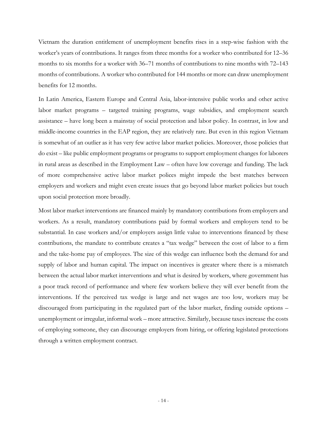Vietnam the duration entitlement of unemployment benefits rises in a step-wise fashion with the worker's years of contributions. It ranges from three months for a worker who contributed for 12–36 months to six months for a worker with 36–71 months of contributions to nine months with 72–143 months of contributions. A worker who contributed for 144 months or more can draw unemployment benefits for 12 months.

In Latin America, Eastern Europe and Central Asia, labor-intensive public works and other active labor market programs – targeted training programs, wage subsidies, and employment search assistance – have long been a mainstay of social protection and labor policy. In contrast, in low and middle-income countries in the EAP region, they are relatively rare. But even in this region Vietnam is somewhat of an outlier as it has very few active labor market policies. Moreover, those policies that do exist – like public employment programs or programs to support employment changes for laborers in rural areas as described in the Employment Law – often have low coverage and funding. The lack of more comprehensive active labor market polices might impede the best matches between employers and workers and might even create issues that go beyond labor market policies but touch upon social protection more broadly.

Most labor market interventions are financed mainly by mandatory contributions from employers and workers. As a result, mandatory contributions paid by formal workers and employers tend to be substantial. In case workers and/or employers assign little value to interventions financed by these contributions, the mandate to contribute creates a "tax wedge" between the cost of labor to a firm and the take-home pay of employees. The size of this wedge can influence both the demand for and supply of labor and human capital. The impact on incentives is greater where there is a mismatch between the actual labor market interventions and what is desired by workers, where government has a poor track record of performance and where few workers believe they will ever benefit from the interventions. If the perceived tax wedge is large and net wages are too low, workers may be discouraged from participating in the regulated part of the labor market, finding outside options – unemployment or irregular, informal work – more attractive. Similarly, because taxes increase the costs of employing someone, they can discourage employers from hiring, or offering legislated protections through a written employment contract.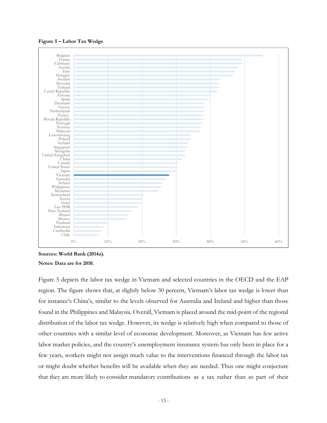

**Figure 5 – Labor Tax Wedge** 

**Sources: World Bank (2014a). Notes: Data are for 2010.** 

Figure 5 depicts the labor tax wedge in Vietnam and selected countries in the OECD and the EAP region. The figure shows that, at slightly below 30 percent, Vietnam's labor tax wedge is lower than for instance's China's, similar to the levels observed for Australia and Ireland and higher than those found in the Philippines and Malaysia. Overall, Vietnam is placed around the mid-point of the regional distribution of the labor tax wedge. However, its wedge is relatively high when compared to those of other countries with a similar level of economic development. Moreover, as Vietnam has few active labor market policies, and the country's unemployment insurance system has only been in place for a few years, workers might not assign much value to the interventions financed through the labor tax or might doubt whether benefits will be available when they are needed. Thus one might conjecture that they are more likely to consider mandatory contributions as a tax rather than as part of their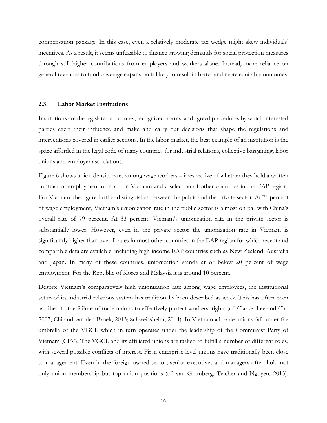compensation package. In this case, even a relatively moderate tax wedge might skew individuals' incentives. As a result, it seems unfeasible to finance growing demands for social protection measures through still higher contributions from employers and workers alone. Instead, more reliance on general revenues to fund coverage expansion is likely to result in better and more equitable outcomes.

## **2.3. Labor Market Institutions**

Institutions are the legislated structures, recognized norms, and agreed procedures by which interested parties exert their influence and make and carry out decisions that shape the regulations and interventions covered in earlier sections. In the labor market, the best example of an institution is the space afforded in the legal code of many countries for industrial relations, collective bargaining, labor unions and employer associations.

Figure 6 shows union density rates among wage workers – irrespective of whether they hold a written contract of employment or not – in Vietnam and a selection of other countries in the EAP region. For Vietnam, the figure further distinguishes between the public and the private sector. At 76 percent of wage employment, Vietnam's unionization rate in the public sector is almost on par with China's overall rate of 79 percent. At 33 percent, Vietnam's unionization rate in the private sector is substantially lower. However, even in the private sector the unionization rate in Vietnam is significantly higher than overall rates in most other countries in the EAP region for which recent and comparable data are available, including high income EAP countries such as New Zealand, Australia and Japan. In many of these countries, unionization stands at or below 20 percent of wage employment. For the Republic of Korea and Malaysia it is around 10 percent.

Despite Vietnam's comparatively high unionization rate among wage employees, the institutional setup of its industrial relations system has traditionally been described as weak. This has often been ascribed to the failure of trade unions to effectively protect workers' rights (cf. Clarke, Lee and Chi, 2007; Chi and van den Broek, 2013; Schweisshelm, 2014). In Vietnam all trade unions fall under the umbrella of the VGCL which in turn operates under the leadership of the Communist Party of Vietnam (CPV). The VGCL and its affiliated unions are tasked to fulfill a number of different roles, with several possible conflicts of interest. First, enterprise-level unions have traditionally been close to management. Even in the foreign-owned sector, senior executives and managers often hold not only union membership but top union positions (cf. van Gramberg, Teicher and Nguyen, 2013).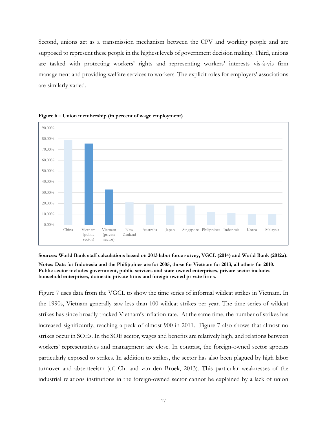Second, unions act as a transmission mechanism between the CPV and working people and are supposed to represent these people in the highest levels of government decision making. Third, unions are tasked with protecting workers' rights and representing workers' interests vis-à-vis firm management and providing welfare services to workers. The explicit roles for employers' associations are similarly varied.





**Sources: World Bank staff calculations based on 2013 labor force survey, VGCL (2014) and World Bank (2012a). Notes: Data for Indonesia and the Philippines are for 2005, those for Vietnam for 2013, all others for 2010. Public sector includes government, public services and state-owned enterprises, private sector includes household enterprises, domestic private firms and foreign-owned private firms.** 

Figure 7 uses data from the VGCL to show the time series of informal wildcat strikes in Vietnam. In the 1990s, Vietnam generally saw less than 100 wildcat strikes per year. The time series of wildcat strikes has since broadly tracked Vietnam's inflation rate. At the same time, the number of strikes has increased significantly, reaching a peak of almost 900 in 2011. Figure 7 also shows that almost no strikes occur in SOEs. In the SOE sector, wages and benefits are relatively high, and relations between workers' representatives and management are close. In contrast, the foreign-owned sector appears particularly exposed to strikes. In addition to strikes, the sector has also been plagued by high labor turnover and absenteeism (cf. Chi and van den Broek, 2013). This particular weaknesses of the industrial relations institutions in the foreign-owned sector cannot be explained by a lack of union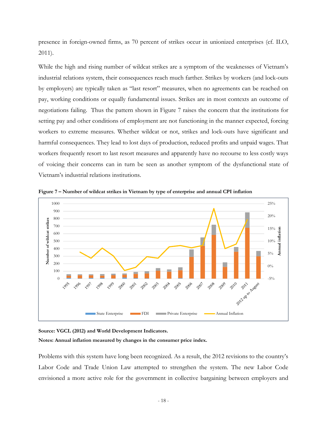presence in foreign-owned firms, as 70 percent of strikes occur in unionized enterprises (cf. ILO, 2011).

While the high and rising number of wildcat strikes are a symptom of the weaknesses of Vietnam's industrial relations system, their consequences reach much farther. Strikes by workers (and lock-outs by employers) are typically taken as "last resort" measures, when no agreements can be reached on pay, working conditions or equally fundamental issues. Strikes are in most contexts an outcome of negotiations failing. Thus the pattern shown in Figure 7 raises the concern that the institutions for setting pay and other conditions of employment are not functioning in the manner expected, forcing workers to extreme measures. Whether wildcat or not, strikes and lock-outs have significant and harmful consequences. They lead to lost days of production, reduced profits and unpaid wages. That workers frequently resort to last resort measures and apparently have no recourse to less costly ways of voicing their concerns can in turn be seen as another symptom of the dysfunctional state of Vietnam's industrial relations institutions.



**Figure 7 – Number of wildcat strikes in Vietnam by type of enterprise and annual CPI inflation** 

**Source: VGCL (2012) and World Development Indicators.** 

**Notes: Annual inflation measured by changes in the consumer price index.** 

Problems with this system have long been recognized. As a result, the 2012 revisions to the country's Labor Code and Trade Union Law attempted to strengthen the system. The new Labor Code envisioned a more active role for the government in collective bargaining between employers and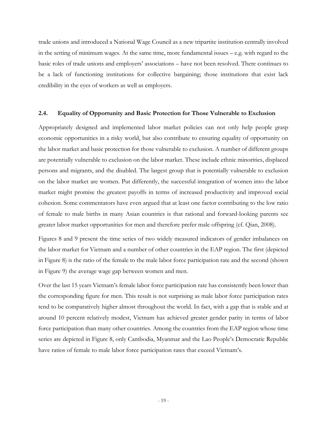trade unions and introduced a National Wage Council as a new tripartite institution centrally involved in the setting of minimum wages. At the same time, more fundamental issues – e.g. with regard to the basic roles of trade unions and employers' associations – have not been resolved. There continues to be a lack of functioning institutions for collective bargaining; those institutions that exist lack credibility in the eyes of workers as well as employers.

## **2.4. Equality of Opportunity and Basic Protection for Those Vulnerable to Exclusion**

Appropriately designed and implemented labor market policies can not only help people grasp economic opportunities in a risky world, but also contribute to ensuring equality of opportunity on the labor market and basic protection for those vulnerable to exclusion. A number of different groups are potentially vulnerable to exclusion on the labor market. These include ethnic minorities, displaced persons and migrants, and the disabled. The largest group that is potentially vulnerable to exclusion on the labor market are women. Put differently, the successful integration of women into the labor market might promise the greatest payoffs in terms of increased productivity and improved social cohesion. Some commentators have even argued that at least one factor contributing to the low ratio of female to male births in many Asian countries is that rational and forward-looking parents see greater labor market opportunities for men and therefore prefer male offspring (cf. Qian, 2008).

Figures 8 and 9 present the time series of two widely measured indicators of gender imbalances on the labor market for Vietnam and a number of other countries in the EAP region. The first (depicted in Figure 8) is the ratio of the female to the male labor force participation rate and the second (shown in Figure 9) the average wage gap between women and men.

Over the last 15 years Vietnam's female labor force participation rate has consistently been lower than the corresponding figure for men. This result is not surprising as male labor force participation rates tend to be comparatively higher almost throughout the world. In fact, with a gap that is stable and at around 10 percent relatively modest, Vietnam has achieved greater gender parity in terms of labor force participation than many other countries. Among the countries from the EAP region whose time series are depicted in Figure 8, only Cambodia, Myanmar and the Lao People's Democratic Republic have ratios of female to male labor force participation rates that exceed Vietnam's.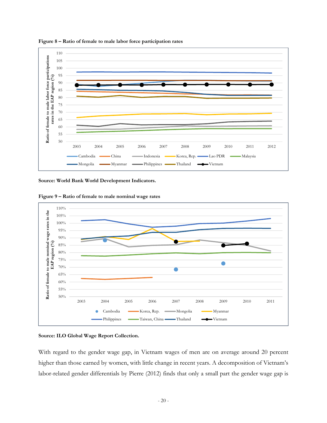

**Figure 8 – Ratio of female to male labor force participation rates** 

**Source: World Bank World Development Indicators.** 

**Figure 9 – Ratio of female to male nominal wage rates** 



#### **Source: ILO Global Wage Report Collection.**

With regard to the gender wage gap, in Vietnam wages of men are on average around 20 percent higher than those earned by women, with little change in recent years. A decomposition of Vietnam's labor-related gender differentials by Pierre (2012) finds that only a small part the gender wage gap is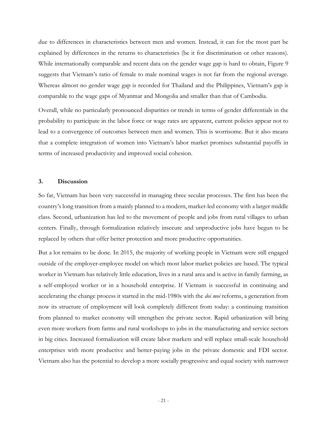due to differences in characteristics between men and women. Instead, it can for the most part be explained by differences in the returns to characteristics (be it for discrimination or other reasons). While internationally comparable and recent data on the gender wage gap is hard to obtain, Figure 9 suggests that Vietnam's ratio of female to male nominal wages is not far from the regional average. Whereas almost no gender wage gap is recorded for Thailand and the Philippines, Vietnam's gap is comparable to the wage gaps of Myanmar and Mongolia and smaller than that of Cambodia.

Overall, while no particularly pronounced disparities or trends in terms of gender differentials in the probability to participate in the labor force or wage rates are apparent, current policies appear not to lead to a convergence of outcomes between men and women. This is worrisome. But it also means that a complete integration of women into Vietnam's labor market promises substantial payoffs in terms of increased productivity and improved social cohesion.

## **3. Discussion**

So far, Vietnam has been very successful in managing three secular processes. The first has been the country's long transition from a mainly planned to a modern, market-led economy with a larger middle class. Second, urbanization has led to the movement of people and jobs from rural villages to urban centers. Finally, through formalization relatively insecure and unproductive jobs have begun to be replaced by others that offer better protection and more productive opportunities.

But a lot remains to be done. In 2015, the majority of working people in Vietnam were still engaged outside of the employer-employee model on which most labor market policies are based. The typical worker in Vietnam has relatively little education, lives in a rural area and is active in family farming, as a self-employed worker or in a household enterprise. If Vietnam is successful in continuing and accelerating the change process it started in the mid-1980s with the *doi moi* reforms, a generation from now its structure of employment will look completely different from today: a continuing transition from planned to market economy will strengthen the private sector. Rapid urbanization will bring even more workers from farms and rural workshops to jobs in the manufacturing and service sectors in big cities. Increased formalization will create labor markets and will replace small-scale household enterprises with more productive and better-paying jobs in the private domestic and FDI sector. Vietnam also has the potential to develop a more socially progressive and equal society with narrower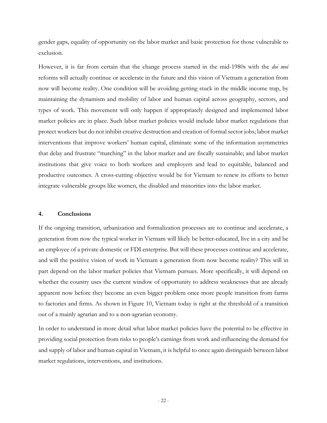gender gaps, equality of opportunity on the labor market and basic protection for those vulnerable to exclusion.

However, it is far from certain that the change process started in the mid-1980s with the *doi moi* reforms will actually continue or accelerate in the future and this vision of Vietnam a generation from now will become reality. One condition will be avoiding getting stuck in the middle income trap, by maintaining the dynamism and mobility of labor and human capital across geography, sectors, and types of work. This movement will only happen if appropriately designed and implemented labor market policies are in place. Such labor market policies would include labor market regulations that protect workers but do not inhibit creative destruction and creation of formal sector jobs; labor market interventions that improve workers' human capital, eliminate some of the information asymmetries that delay and frustrate "matching" in the labor market and are fiscally sustainable; and labor market institutions that give voice to both workers and employers and lead to equitable, balanced and productive outcomes. A cross-cutting objective would be for Vietnam to renew its efforts to better integrate vulnerable groups like women, the disabled and minorities into the labor market.

### **4. Conclusions**

If the ongoing transition, urbanization and formalization processes are to continue and accelerate, a generation from now the typical worker in Vietnam will likely be better-educated, live in a city and be an employee of a private domestic or FDI enterprise. But will these processes continue and accelerate, and will the positive vision of work in Vietnam a generation from now become reality? This will in part depend on the labor market policies that Vietnam pursues. More specifically, it will depend on whether the country uses the current window of opportunity to address weaknesses that are already apparent now before they become an even bigger problem once more people transition from farms to factories and firms. As shown in Figure 10, Vietnam today is right at the threshold of a transition out of a mainly agrarian and to a non-agrarian economy.

In order to understand in more detail what labor market policies have the potential to be effective in providing social protection from risks to people's earnings from work and influencing the demand for and supply of labor and human capital in Vietnam, it is helpful to once again distinguish between labor market regulations, interventions, and institutions.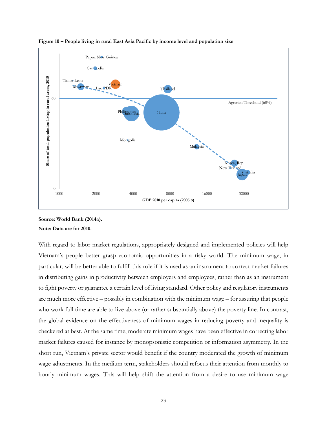

**Figure 10 – People living in rural East Asia Pacific by income level and population size** 

With regard to labor market regulations, appropriately designed and implemented policies will help Vietnam's people better grasp economic opportunities in a risky world. The minimum wage, in particular, will be better able to fulfill this role if it is used as an instrument to correct market failures in distributing gains in productivity between employers and employees, rather than as an instrument to fight poverty or guarantee a certain level of living standard. Other policy and regulatory instruments are much more effective – possibly in combination with the minimum wage – for assuring that people who work full time are able to live above (or rather substantially above) the poverty line. In contrast, the global evidence on the effectiveness of minimum wages in reducing poverty and inequality is checkered at best. At the same time, moderate minimum wages have been effective in correcting labor market failures caused for instance by monopsonistic competition or information asymmetry. In the short run, Vietnam's private sector would benefit if the country moderated the growth of minimum wage adjustments. In the medium term, stakeholders should refocus their attention from monthly to hourly minimum wages. This will help shift the attention from a desire to use minimum wage

**Source: World Bank (2014a). Note: Data are for 2010.**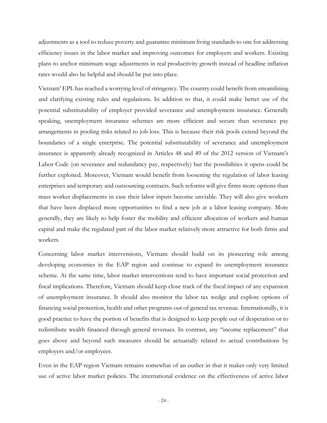adjustments as a tool to reduce poverty and guarantee minimum living standards to one for addressing efficiency issues in the labor market and improving outcomes for employers and workers. Existing plans to anchor minimum wage adjustments in real productivity growth instead of headline inflation rates would also be helpful and should be put into place.

Vietnam' EPL has reached a worrying level of stringency. The country could benefit from streamlining and clarifying existing rules and regulations. In addition to that, it could make better use of the potential substitutability of employer provided severance and unemployment insurance. Generally speaking, unemployment insurance schemes are more efficient and secure than severance pay arrangements in pooling risks related to job loss. This is because their risk pools extend beyond the boundaries of a single enterprise. The potential substitutability of severance and unemployment insurance is apparently already recognized in Articles 48 and 49 of the 2012 version of Vietnam's Labor Code (on severance and redundancy pay, respectively) but the possibilities it opens could be further exploited. Moreover, Vietnam would benefit from loosening the regulation of labor leasing enterprises and temporary and outsourcing contracts. Such reforms will give firms more options than mass worker displacements in case their labor inputs become unviable. They will also give workers that have been displaced more opportunities to find a new job at a labor leasing company. More generally, they are likely to help foster the mobility and efficient allocation of workers and human capital and make the regulated part of the labor market relatively more attractive for both firms and workers.

Concerning labor market interventions, Vietnam should build on its pioneering role among developing economies in the EAP region and continue to expand its unemployment insurance scheme. At the same time, labor market interventions tend to have important social protection and fiscal implications. Therefore, Vietnam should keep close track of the fiscal impact of any expansion of unemployment insurance. It should also monitor the labor tax wedge and explore options of financing social protection, health and other programs out of general tax revenue. Internationally, it is good practice to have the portion of benefits that is designed to keep people out of desperation or to redistribute wealth financed through general revenues. In contrast, any "income replacement" that goes above and beyond such measures should be actuarially related to actual contributions by employers and/or employees.

Even in the EAP region Vietnam remains somewhat of an outlier in that it makes only very limited use of active labor market policies. The international evidence on the effectiveness of active labor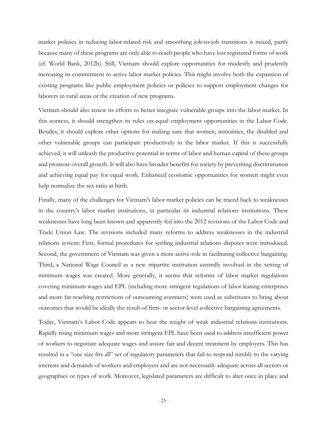market policies in reducing labor-related risk and smoothing job-to-job transitions is mixed, partly because many of these programs are only able to reach people who have lost registered forms of work (cf. World Bank, 2012b). Still, Vietnam should explore opportunities for modestly and prudently increasing its commitment to active labor market policies. This might involve both the expansion of existing programs like public employment policies or policies to support employment changes for laborers in rural areas or the creation of new programs.

Vietnam should also renew its efforts to better integrate vulnerable groups into the labor market. In this context, it should strengthen its rules on equal employment opportunities in the Labor Code. Besides, it should explore other options for making sure that women, minorities, the disabled and other vulnerable groups can participate productively in the labor market. If this is successfully achieved, it will unleash the productive potential in terms of labor and human capital of these groups and promote overall growth. It will also have broader benefits for society by preventing discrimination and achieving equal pay for equal work. Enhanced economic opportunities for women might even help normalize the sex ratio at birth.

Finally, many of the challenges for Vietnam's labor market policies can be traced back to weaknesses in the country's labor market institutions, in particular its industrial relations institutions. These weaknesses have long been known and apparently fed into the 2012 revisions of the Labor Code and Trade Union Law. The revisions included many reforms to address weaknesses in the industrial relations system: First, formal procedures for settling industrial relations disputes were introduced. Second, the government of Vietnam was given a more active role in facilitating collective bargaining. Third, a National Wage Council as a new tripartite institution centrally involved in the setting of minimum wages was created. More generally, it seems that reforms of labor market regulations covering minimum wages and EPL (including more stringent regulations of labor leasing enterprises and more far-reaching restrictions of outsourcing contracts) were used as substitutes to bring about outcomes that would be ideally the result of firm- or sector-level collective bargaining agreements.

Today, Vietnam's Labor Code appears to bear the weight of weak industrial relations institutions. Rapidly rising minimum wages and more stringent EPL have been used to address insufficient power of workers to negotiate adequate wages and assure fair and decent treatment by employers. This has resulted in a "one size fits all" set of regulatory parameters that fail to respond nimbly to the varying interests and demands of workers and employers and are not necessarily adequate across all sectors or geographies or types of work. Moreover, legislated parameters are difficult to alter once in place and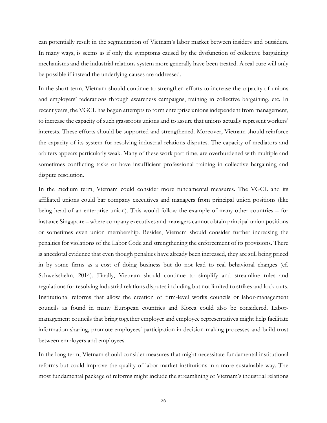can potentially result in the segmentation of Vietnam's labor market between insiders and outsiders. In many ways, is seems as if only the symptoms caused by the dysfunction of collective bargaining mechanisms and the industrial relations system more generally have been treated. A real cure will only be possible if instead the underlying causes are addressed.

In the short term, Vietnam should continue to strengthen efforts to increase the capacity of unions and employers' federations through awareness campaigns, training in collective bargaining, etc. In recent years, the VGCL has begun attempts to form enterprise unions independent from management, to increase the capacity of such grassroots unions and to assure that unions actually represent workers' interests. These efforts should be supported and strengthened. Moreover, Vietnam should reinforce the capacity of its system for resolving industrial relations disputes. The capacity of mediators and arbiters appears particularly weak. Many of these work part-time, are overburdened with multiple and sometimes conflicting tasks or have insufficient professional training in collective bargaining and dispute resolution.

In the medium term, Vietnam could consider more fundamental measures. The VGCL and its affiliated unions could bar company executives and managers from principal union positions (like being head of an enterprise union). This would follow the example of many other countries – for instance Singapore – where company executives and managers cannot obtain principal union positions or sometimes even union membership. Besides, Vietnam should consider further increasing the penalties for violations of the Labor Code and strengthening the enforcement of its provisions. There is anecdotal evidence that even though penalties have already been increased, they are still being priced in by some firms as a cost of doing business but do not lead to real behavioral changes (cf. Schweisshelm, 2014). Finally, Vietnam should continue to simplify and streamline rules and regulations for resolving industrial relations disputes including but not limited to strikes and lock-outs. Institutional reforms that allow the creation of firm-level works councils or labor-management councils as found in many European countries and Korea could also be considered. Labormanagement councils that bring together employer and employee representatives might help facilitate information sharing, promote employees' participation in decision-making processes and build trust between employers and employees.

In the long term, Vietnam should consider measures that might necessitate fundamental institutional reforms but could improve the quality of labor market institutions in a more sustainable way. The most fundamental package of reforms might include the streamlining of Vietnam's industrial relations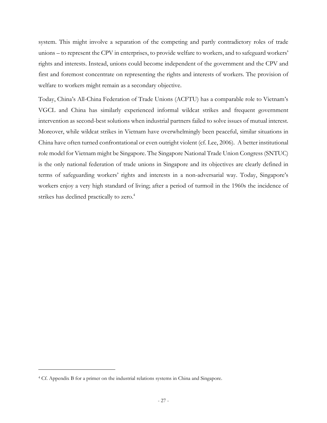system. This might involve a separation of the competing and partly contradictory roles of trade unions – to represent the CPV in enterprises, to provide welfare to workers, and to safeguard workers' rights and interests. Instead, unions could become independent of the government and the CPV and first and foremost concentrate on representing the rights and interests of workers. The provision of welfare to workers might remain as a secondary objective.

Today, China's All-China Federation of Trade Unions (ACFTU) has a comparable role to Vietnam's VGCL and China has similarly experienced informal wildcat strikes and frequent government intervention as second-best solutions when industrial partners failed to solve issues of mutual interest. Moreover, while wildcat strikes in Vietnam have overwhelmingly been peaceful, similar situations in China have often turned confrontational or even outright violent (cf. Lee, 2006). A better institutional role model for Vietnam might be Singapore. The Singapore National Trade Union Congress (SNTUC) is the only national federation of trade unions in Singapore and its objectives are clearly defined in terms of safeguarding workers' rights and interests in a non-adversarial way. Today, Singapore's workers enjoy a very high standard of living; after a period of turmoil in the 1960s the incidence of strikes has declined practically to zero.<sup>4</sup>

<sup>4</sup> Cf. Appendix B for a primer on the industrial relations systems in China and Singapore.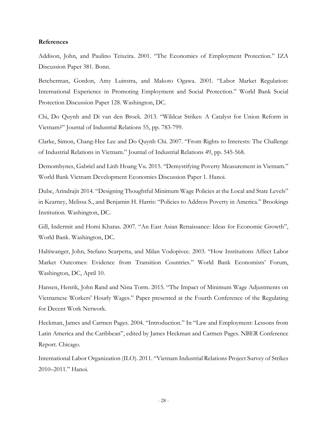#### **References**

Addison, John, and Paulino Teixeira. 2001. "The Economics of Employment Protection." IZA Discussion Paper 381. Bonn.

Betcherman, Gordon, Amy Luinstra, and Makoto Ogawa. 2001. "Labor Market Regulation: International Experience in Promoting Employment and Social Protection." World Bank Social Protection Discussion Paper 128. Washington, DC.

Chi, Do Quynh and Di van den Broek. 2013. "Wildcat Strikes: A Catalyst for Union Reform in Vietnam?" Journal of Industrial Relations 55, pp. 783-799.

Clarke, Simon, Chang-Hee Lee and Do Quynh Chi. 2007. "From Rights to Interests: The Challenge of Industrial Relations in Vietnam." Journal of Industrial Relations 49, pp. 545-568.

Demombynes, Gabriel and Linh Hoang Vu. 2015. "Demystifying Poverty Measurement in Vietnam." World Bank Vietnam Development Economics Discussion Paper 1. Hanoi.

Dube, Arindrajit 2014. "Designing Thoughtful Minimum Wage Policies at the Local and State Levels" in Kearney, Melissa S., and Benjamin H. Harris: "Policies to Address Poverty in America." Brookings Institution. Washington, DC.

Gill, Indermit and Homi Kharas. 2007. "An East Asian Renaissance: Ideas for Economic Growth", World Bank. Washington, DC.

Haltiwanger, John, Stefano Scarpetta, and Milan Vodopivec. 2003. "How Institutions Affect Labor Market Outcomes: Evidence from Transition Countries." World Bank Economists' Forum, Washington, DC, April 10.

Hansen, Henrik, John Rand and Nina Torm. 2015. "The Impact of Minimum Wage Adjustments on Vietnamese Workers' Hourly Wages." Paper presented at the Fourth Conference of the Regulating for Decent Work Network.

Heckman, James and Carmen Pages. 2004. "Introduction." In "Law and Employment: Lessons from Latin America and the Caribbean", edited by James Heckman and Carmen Pages. NBER Conference Report. Chicago.

International Labor Organization (ILO). 2011. "Vietnam Industrial Relations Project Survey of Strikes 2010–2011." Hanoi.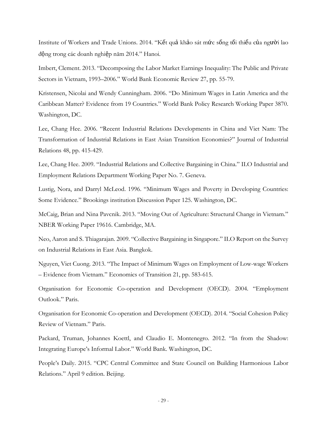Institute of Workers and Trade Unions. 2014. "Kết quả khảo sát mức sống tối thiểu của người lao động trong các doanh nghiệp năm 2014." Hanoi.

Imbert, Clement. 2013. "Decomposing the Labor Market Earnings Inequality: The Public and Private Sectors in Vietnam, 1993–2006." World Bank Economic Review 27, pp. 55-79.

Kristensen, Nicolai and Wendy Cunningham. 2006. "Do Minimum Wages in Latin America and the Caribbean Matter? Evidence from 19 Countries." World Bank Policy Research Working Paper 3870. Washington, DC.

Lee, Chang Hee. 2006. "Recent Industrial Relations Developments in China and Viet Nam: The Transformation of Industrial Relations in East Asian Transition Economies?" Journal of Industrial Relations 48, pp. 415-429.

Lee, Chang Hee. 2009. "Industrial Relations and Collective Bargaining in China." ILO Industrial and Employment Relations Department Working Paper No. 7. Geneva.

Lustig, Nora, and Darryl McLeod. 1996. "Minimum Wages and Poverty in Developing Countries: Some Evidence." Brookings institution Discussion Paper 125. Washington, DC.

McCaig, Brian and Nina Pavcnik. 2013. "Moving Out of Agriculture: Structural Change in Vietnam." NBER Working Paper 19616. Cambridge, MA.

Neo, Aaron and S. Thiagarajan. 2009. "Collective Bargaining in Singapore." ILO Report on the Survey on Industrial Relations in East Asia. Bangkok.

Nguyen, Viet Cuong. 2013. "The Impact of Minimum Wages on Employment of Low-wage Workers – Evidence from Vietnam." Economics of Transition 21, pp. 583-615.

Organisation for Economic Co-operation and Development (OECD). 2004. "Employment Outlook." Paris.

Organisation for Economic Co-operation and Development (OECD). 2014. "Social Cohesion Policy Review of Vietnam." Paris.

Packard, Truman, Johannes Koettl, and Claudio E. Montenegro. 2012. "In from the Shadow: Integrating Europe's Informal Labor." World Bank. Washington, DC.

People's Daily. 2015. "CPC Central Committee and State Council on Building Harmonious Labor Relations." April 9 edition. Beijing.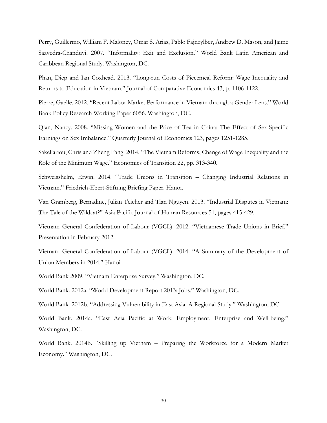Perry, Guillermo, William F. Maloney, Omar S. Arias, Pablo Fajnzylber, Andrew D. Mason, and Jaime Saavedra-Chanduvi. 2007. "Informality: Exit and Exclusion." World Bank Latin American and Caribbean Regional Study. Washington, DC.

Phan, Diep and Ian Coxhead. 2013. "Long-run Costs of Piecemeal Reform: Wage Inequality and Returns to Education in Vietnam." Journal of Comparative Economics 43, p. 1106-1122.

Pierre, Gaelle. 2012. "Recent Labor Market Performance in Vietnam through a Gender Lens." World Bank Policy Research Working Paper 6056. Washington, DC.

Qian, Nancy. 2008. "Missing Women and the Price of Tea in China: The Effect of Sex-Specific Earnings on Sex Imbalance." Quarterly Journal of Economics 123, pages 1251-1285.

Sakellariou, Chris and Zheng Fang. 2014. "The Vietnam Reforms, Change of Wage Inequality and the Role of the Minimum Wage." Economics of Transition 22, pp. 313-340.

Schweisshelm, Erwin. 2014. "Trade Unions in Transition – Changing Industrial Relations in Vietnam." Friedrich-Ebert-Stiftung Briefing Paper. Hanoi.

Van Gramberg, Bernadine, Julian Teicher and Tian Nguyen. 2013. "Industrial Disputes in Vietnam: The Tale of the Wildcat?" Asia Pacific Journal of Human Resources 51, pages 415-429.

Vietnam General Confederation of Labour (VGCL). 2012. "Vietnamese Trade Unions in Brief." Presentation in February 2012.

Vietnam General Confederation of Labour (VGCL). 2014. "A Summary of the Development of Union Members in 2014." Hanoi.

World Bank 2009. "Vietnam Enterprise Survey." Washington, DC.

World Bank. 2012a. "World Development Report 2013: Jobs." Washington, DC.

World Bank. 2012b. "Addressing Vulnerability in East Asia: A Regional Study." Washington, DC.

World Bank. 2014a. "East Asia Pacific at Work: Employment, Enterprise and Well-being." Washington, DC.

World Bank. 2014b. "Skilling up Vietnam – Preparing the Workforce for a Modern Market Economy." Washington, DC.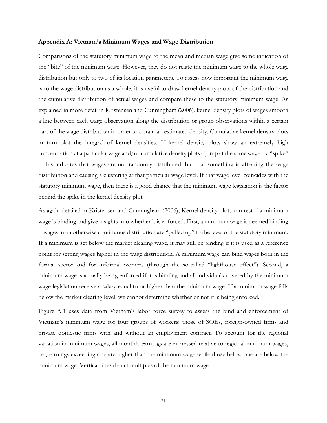#### **Appendix A: Vietnam's Minimum Wages and Wage Distribution**

Comparisons of the statutory minimum wage to the mean and median wage give some indication of the "bite" of the minimum wage. However, they do not relate the minimum wage to the whole wage distribution but only to two of its location parameters. To assess how important the minimum wage is to the wage distribution as a whole, it is useful to draw kernel density plots of the distribution and the cumulative distribution of actual wages and compare these to the statutory minimum wage. As explained in more detail in Kristensen and Cunningham (2006), kernel density plots of wages smooth a line between each wage observation along the distribution or group observations within a certain part of the wage distribution in order to obtain an estimated density. Cumulative kernel density plots in turn plot the integral of kernel densities. If kernel density plots show an extremely high concentration at a particular wage and/or cumulative density plots a jump at the same wage  $-$  a "spike" – this indicates that wages are not randomly distributed, but that something is affecting the wage distribution and causing a clustering at that particular wage level. If that wage level coincides with the statutory minimum wage, then there is a good chance that the minimum wage legislation is the factor behind the spike in the kernel density plot.

As again detailed in Kristensen and Cunningham (2006), Kernel density plots can test if a minimum wage is binding and give insights into whether it is enforced. First, a minimum wage is deemed binding if wages in an otherwise continuous distribution are "pulled up" to the level of the statutory minimum. If a minimum is set below the market clearing wage, it may still be binding if it is used as a reference point for setting wages higher in the wage distribution. A minimum wage can bind wages both in the formal sector and for informal workers (through the so-called "lighthouse effect"). Second, a minimum wage is actually being enforced if it is binding and all individuals covered by the minimum wage legislation receive a salary equal to or higher than the minimum wage. If a minimum wage falls below the market clearing level, we cannot determine whether or not it is being enforced.

Figure A.1 uses data from Vietnam's labor force survey to assess the bind and enforcement of Vietnam's minimum wage for four groups of workers: those of SOEs, foreign-owned firms and private domestic firms with and without an employment contract. To account for the regional variation in minimum wages, all monthly earnings are expressed relative to regional minimum wages, i.e., earnings exceeding one are higher than the minimum wage while those below one are below the minimum wage. Vertical lines depict multiples of the minimum wage.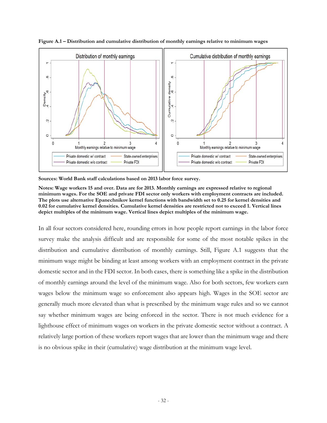

**Figure A.1 – Distribution and cumulative distribution of monthly earnings relative to minimum wages** 

**Sources: World Bank staff calculations based on 2013 labor force survey.** 

**Notes: Wage workers 15 and over. Data are for 2013. Monthly earnings are expressed relative to regional minimum wages. For the SOE and private FDI sector only workers with employment contracts are included. The plots use alternative Epanechnikov kernel functions with bandwidth set to 0.25 for kernel densities and 0.02 for cumulative kernel densities. Cumulative kernel densities are restricted not to exceed 1. Vertical lines depict multiples of the minimum wage. Vertical lines depict multiples of the minimum wage.** 

In all four sectors considered here, rounding errors in how people report earnings in the labor force survey make the analysis difficult and are responsible for some of the most notable spikes in the distribution and cumulative distribution of monthly earnings. Still, Figure A.1 suggests that the minimum wage might be binding at least among workers with an employment contract in the private domestic sector and in the FDI sector. In both cases, there is something like a spike in the distribution of monthly earnings around the level of the minimum wage. Also for both sectors, few workers earn wages below the minimum wage so enforcement also appears high. Wages in the SOE sector are generally much more elevated than what is prescribed by the minimum wage rules and so we cannot say whether minimum wages are being enforced in the sector. There is not much evidence for a lighthouse effect of minimum wages on workers in the private domestic sector without a contract. A relatively large portion of these workers report wages that are lower than the minimum wage and there is no obvious spike in their (cumulative) wage distribution at the minimum wage level.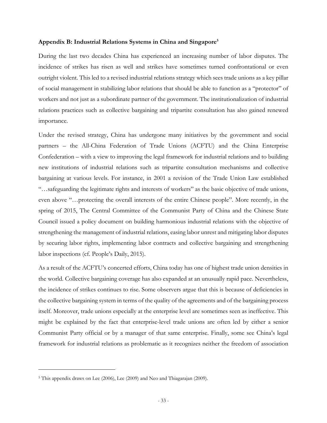## **Appendix B: Industrial Relations Systems in China and Singapore5**

During the last two decades China has experienced an increasing number of labor disputes. The incidence of strikes has risen as well and strikes have sometimes turned confrontational or even outright violent. This led to a revised industrial relations strategy which sees trade unions as a key pillar of social management in stabilizing labor relations that should be able to function as a "protector" of workers and not just as a subordinate partner of the government. The institutionalization of industrial relations practices such as collective bargaining and tripartite consultation has also gained renewed importance.

Under the revised strategy, China has undergone many initiatives by the government and social partners – the All-China Federation of Trade Unions (ACFTU) and the China Enterprise Confederation – with a view to improving the legal framework for industrial relations and to building new institutions of industrial relations such as tripartite consultation mechanisms and collective bargaining at various levels. For instance, in 2001 a revision of the Trade Union Law established "…safeguarding the legitimate rights and interests of workers" as the basic objective of trade unions, even above "…protecting the overall interests of the entire Chinese people". More recently, in the spring of 2015, The Central Committee of the Communist Party of China and the Chinese State Council issued a policy document on building harmonious industrial relations with the objective of strengthening the management of industrial relations, easing labor unrest and mitigating labor disputes by securing labor rights, implementing labor contracts and collective bargaining and strengthening labor inspections (cf. People's Daily, 2015).

As a result of the ACFTU's concerted efforts, China today has one of highest trade union densities in the world. Collective bargaining coverage has also expanded at an unusually rapid pace. Nevertheless, the incidence of strikes continues to rise. Some observers argue that this is because of deficiencies in the collective bargaining system in terms of the quality of the agreements and of the bargaining process itself. Moreover, trade unions especially at the enterprise level are sometimes seen as ineffective. This might be explained by the fact that enterprise-level trade unions are often led by either a senior Communist Party official or by a manager of that same enterprise. Finally, some see China's legal framework for industrial relations as problematic as it recognizes neither the freedom of association

<sup>5</sup> This appendix draws on Lee (2006), Lee (2009) and Neo and Thiagarajan (2009).